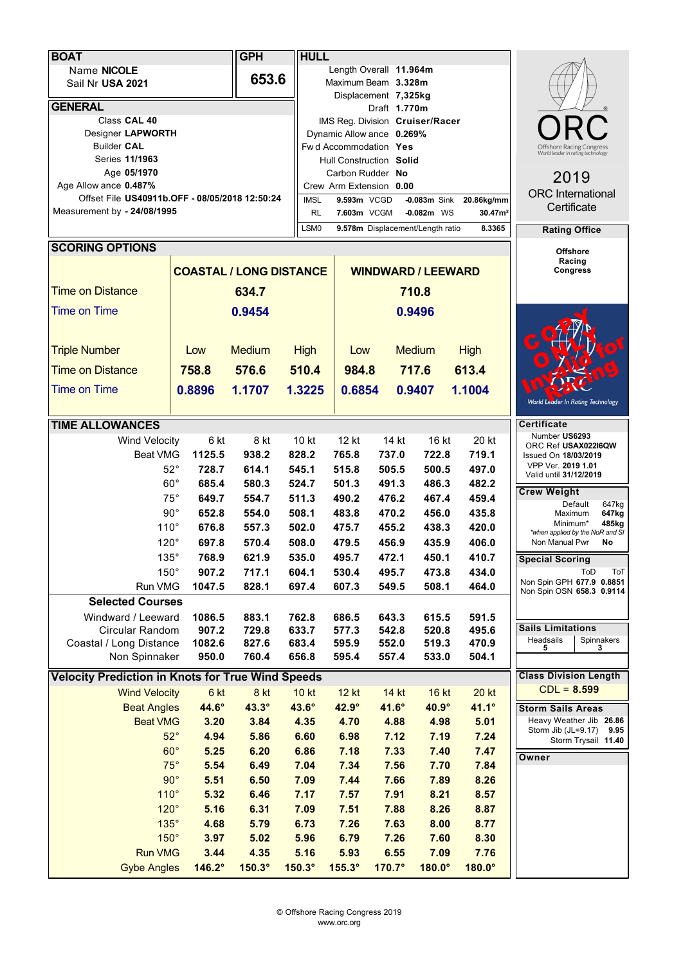|                                                | <b>BOAT</b>                                              | <b>GPH</b>                                   | <b>HULL</b>    |                                  |                                 |                                      |                                                             |                |                                                         |
|------------------------------------------------|----------------------------------------------------------|----------------------------------------------|----------------|----------------------------------|---------------------------------|--------------------------------------|-------------------------------------------------------------|----------------|---------------------------------------------------------|
| Name NICOLE                                    |                                                          |                                              |                |                                  | Length Overall 11.964m          |                                      |                                                             |                |                                                         |
| Sail Nr USA 2021                               |                                                          |                                              | 653.6          |                                  | Maximum Beam 3.328m             |                                      |                                                             |                |                                                         |
| <b>GENERAL</b>                                 |                                                          |                                              |                |                                  |                                 | Displacement 7,325kg<br>Draft 1.770m |                                                             |                |                                                         |
| Class CAL 40                                   |                                                          |                                              |                |                                  | IMS Reg. Division Cruiser/Racer |                                      |                                                             |                |                                                         |
| Designer LAPWORTH                              |                                                          |                                              |                |                                  | Dynamic Allow ance 0.269%       |                                      |                                                             |                |                                                         |
| <b>Builder CAL</b>                             |                                                          |                                              |                |                                  | Fwd Accommodation Yes           |                                      | Offshore Racing Congre<br>World leader in rating technology |                |                                                         |
| Series 11/1963                                 |                                                          |                                              |                |                                  | Hull Construction Solid         |                                      |                                                             |                |                                                         |
| Age 05/1970<br>Age Allow ance 0.487%           |                                                          |                                              |                |                                  | Carbon Rudder No                |                                      | 2019                                                        |                |                                                         |
| Offset File US40911b.OFF - 08/05/2018 12:50:24 |                                                          |                                              |                |                                  | Crew Arm Extension 0.00         |                                      | <b>ORC</b> International                                    |                |                                                         |
| Measurement by - 24/08/1995                    |                                                          |                                              |                |                                  | 9.593m VCGD<br>7.603m VCGM      | $-0.083m$ Sink<br>$-0.082m$ WS       | Certificate                                                 |                |                                                         |
|                                                |                                                          | <b>RL</b><br>LSM <sub>0</sub>                |                | 9.578m Displacement/Length ratio | <b>Rating Office</b>            |                                      |                                                             |                |                                                         |
|                                                |                                                          |                                              |                |                                  |                                 |                                      |                                                             |                |                                                         |
|                                                | <b>SCORING OPTIONS</b>                                   |                                              |                |                                  |                                 |                                      |                                                             |                | <b>Offshore</b><br>Racing                               |
|                                                |                                                          | <b>COASTAL / LONG DISTANCE</b>               |                |                                  | <b>WINDWARD / LEEWARD</b>       |                                      | <b>Congress</b>                                             |                |                                                         |
| <b>Time on Distance</b>                        |                                                          |                                              | 634.7          |                                  |                                 |                                      |                                                             |                |                                                         |
|                                                | <b>Time on Time</b>                                      |                                              | 0.9454         |                                  | 0.9496                          |                                      |                                                             |                |                                                         |
|                                                |                                                          |                                              |                |                                  |                                 |                                      |                                                             |                |                                                         |
|                                                | <b>Triple Number</b>                                     | Low                                          | <b>Medium</b>  | <b>High</b>                      | Low                             |                                      | <b>Medium</b>                                               | <b>High</b>    |                                                         |
|                                                |                                                          |                                              |                |                                  |                                 |                                      |                                                             |                |                                                         |
|                                                | <b>Time on Distance</b>                                  | 758.8                                        | 576.6          | 510.4                            | 984.8                           |                                      | 717.6                                                       | 613.4          |                                                         |
|                                                | <b>Time on Time</b>                                      | 0.8896                                       | 1.1707         | 1.3225                           | 0.6854                          |                                      | 0.9407                                                      | 1.1004         | World Leader In Rating Technology                       |
|                                                |                                                          |                                              |                |                                  |                                 |                                      |                                                             |                |                                                         |
|                                                | <b>TIME ALLOWANCES</b>                                   |                                              |                |                                  |                                 |                                      |                                                             |                | <b>Certificate</b><br>Number US6293                     |
|                                                | Wind Velocity                                            | 6 kt                                         | 8 kt           | 10 kt                            | 12 kt                           | 14 kt                                | 16 kt                                                       | 20 kt          | ORC Ref USAX022I6QW                                     |
|                                                | Beat VMG                                                 | 1125.5                                       | 938.2          | 828.2                            | 765.8                           | 737.0                                | 722.8                                                       | 719.1          | Issued On 18/03/2019<br>VPP Ver. 2019 1.01              |
|                                                |                                                          | $52^{\circ}$<br>728.7                        | 614.1          | 545.1                            | 515.8                           | 505.5                                | 500.5                                                       | 497.0          | Valid until 31/12/2019                                  |
|                                                |                                                          | $60^{\circ}$<br>685.4<br>$75^\circ$<br>649.7 | 580.3<br>554.7 | 524.7                            | 501.3                           | 491.3                                | 486.3<br>467.4                                              | 482.2<br>459.4 | <b>Crew Weight</b>                                      |
|                                                |                                                          | $90^{\circ}$<br>652.8                        | 554.0          | 511.3<br>508.1                   | 490.2<br>483.8                  | 476.2<br>470.2                       | 456.0                                                       | 435.8          | Default<br>647kg                                        |
|                                                | $110^\circ$                                              | 676.8                                        | 557.3          | 502.0                            | 475.7                           | 455.2                                | 438.3                                                       | 420.0          | 647kg<br>Maximum<br>Minimum*<br>485kg                   |
|                                                | $120^\circ$                                              | 697.8                                        | 570.4          | 508.0                            | 479.5                           | 456.9                                | 435.9                                                       | 406.0          | *when applied by the NoR and SI<br>Non Manual Pwr<br>No |
|                                                | $135^\circ$                                              | 768.9                                        | 621.9          | 535.0                            | 495.7                           | 472.1                                | 450.1                                                       | 410.7          |                                                         |
|                                                | $150^\circ$                                              | 907.2                                        | 717.1          | 604.1                            | 530.4                           | 495.7                                | 473.8                                                       | 434.0          | <b>Special Scoring</b><br>ToT<br>ToD                    |
|                                                | Run VMG                                                  | 1047.5                                       | 828.1          | 697.4                            | 607.3                           | 549.5                                | 508.1                                                       | 464.0          | Non Spin GPH 677.9 0.8851                               |
|                                                | <b>Selected Courses</b>                                  |                                              |                |                                  |                                 |                                      |                                                             |                | Non Spin OSN 658.3 0.9114                               |
|                                                | Windward / Leeward                                       | 1086.5                                       | 883.1          | 762.8                            | 686.5                           | 643.3                                | 615.5                                                       | 591.5          |                                                         |
|                                                | Circular Random                                          | 907.2                                        | 729.8          | 633.7                            | 577.3                           | 542.8                                | 520.8                                                       | 495.6          | <b>Sails Limitations</b>                                |
|                                                | Coastal / Long Distance                                  | 1082.6                                       | 827.6          | 683.4                            | 595.9                           | 552.0                                | 519.3                                                       | 470.9          | Headsails<br>Spinnakers<br>3<br>5                       |
|                                                | Non Spinnaker                                            | 950.0                                        | 760.4          | 656.8                            | 595.4                           | 557.4                                | 533.0                                                       | 504.1          |                                                         |
|                                                | <b>Velocity Prediction in Knots for True Wind Speeds</b> |                                              |                |                                  |                                 |                                      |                                                             |                | <b>Class Division Length</b>                            |
|                                                | <b>Wind Velocity</b>                                     | 6 kt                                         | 8 kt           | <b>10 kt</b>                     | <b>12 kt</b>                    | 14 kt                                | 16 kt                                                       | <b>20 kt</b>   | $CDL = 8.599$                                           |
|                                                | <b>Beat Angles</b>                                       | 44.6°                                        | $43.3^\circ$   | 43.6°                            | 42.9°                           | $41.6^\circ$                         | $40.9^\circ$                                                | $41.1^\circ$   | <b>Storm Sails Areas</b>                                |
|                                                | <b>Beat VMG</b>                                          | 3.20                                         | 3.84           | 4.35                             | 4.70                            | 4.88                                 | 4.98                                                        | 5.01           | Heavy Weather Jib 26.86<br>Storm Jib (JL=9.17)<br>9.95  |
|                                                |                                                          | $52^\circ$<br>4.94                           | 5.86           | 6.60                             | 6.98                            | 7.12                                 | 7.19                                                        | 7.24           | Storm Trysail 11.40                                     |
|                                                |                                                          | $60^\circ$<br>5.25<br>$75^\circ$<br>5.54     | 6.20<br>6.49   | 6.86<br>7.04                     | 7.18<br>7.34                    | 7.33<br>7.56                         | 7.40<br>7.70                                                | 7.47<br>7.84   | Owner                                                   |
|                                                |                                                          | $90^\circ$<br>5.51                           | 6.50           | 7.09                             | 7.44                            | 7.66                                 | 7.89                                                        | 8.26           |                                                         |
|                                                | 110°                                                     | 5.32                                         | 6.46           | 7.17                             | 7.57                            | 7.91                                 | 8.21                                                        | 8.57           |                                                         |
|                                                | $120^\circ$                                              | 5.16                                         | 6.31           | 7.09                             | 7.51                            | 7.88                                 | 8.26                                                        | 8.87           |                                                         |
|                                                | $135^\circ$                                              | 4.68                                         | 5.79           | 6.73                             | 7.26                            | 7.63                                 | 8.00                                                        | 8.77           |                                                         |
|                                                | $150^\circ$                                              | 3.97                                         | 5.02           | 5.96                             | 6.79                            | 7.26                                 | 7.60                                                        | 8.30           |                                                         |
|                                                | <b>Run VMG</b>                                           | 3.44                                         | 4.35           | 5.16                             | 5.93                            | 6.55                                 | 7.09                                                        | 7.76           |                                                         |
|                                                | <b>Gybe Angles</b>                                       | 146.2°                                       | 150.3°         | 150.3°                           | $155.3^\circ$                   | 170.7°                               | $180.0^\circ$                                               | 180.0°         |                                                         |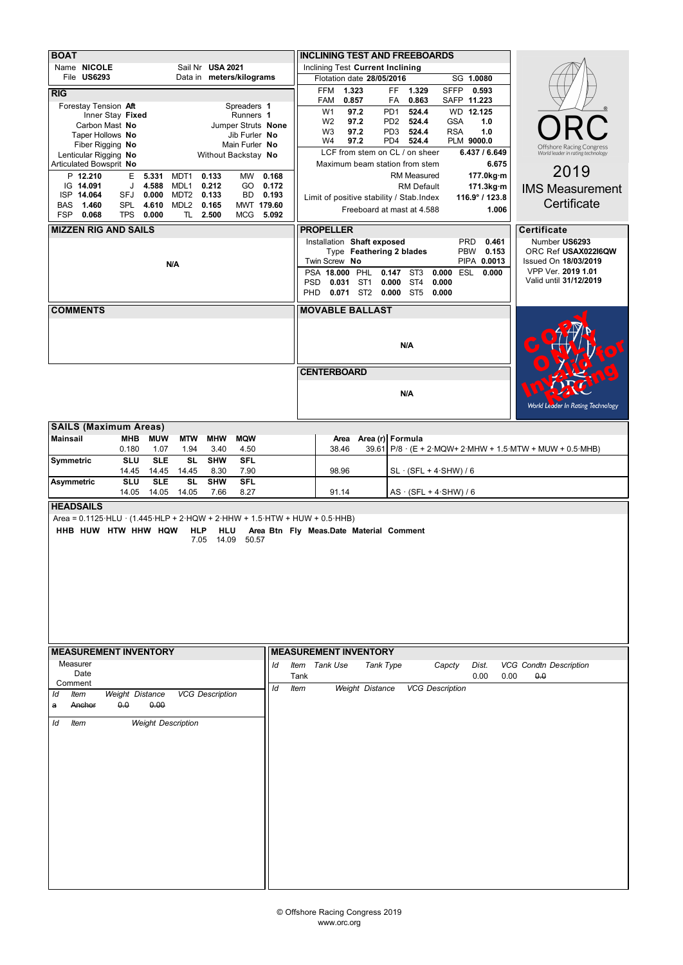| <b>BOAT</b>                                                                                                             |             |                                                               |                                                      |                                        |                                                                |  |  |  |  |  |  |  |
|-------------------------------------------------------------------------------------------------------------------------|-------------|---------------------------------------------------------------|------------------------------------------------------|----------------------------------------|----------------------------------------------------------------|--|--|--|--|--|--|--|
|                                                                                                                         |             | <b>INCLINING TEST AND FREEBOARDS</b>                          |                                                      |                                        |                                                                |  |  |  |  |  |  |  |
| Name NICOLE<br>Sail Nr USA 2021<br>File US6293<br>Data in meters/kilograms                                              |             | Inclining Test Current Inclining<br>Flotation date 28/05/2016 |                                                      |                                        |                                                                |  |  |  |  |  |  |  |
|                                                                                                                         |             | <b>FFM</b><br>1.323                                           | FF.<br>1.329                                         | SG 1.0080<br><b>SFFP</b><br>0.593      |                                                                |  |  |  |  |  |  |  |
| <b>RIG</b><br>Forestay Tension Aft<br>Spreaders 1                                                                       |             | 0.857<br>FAM                                                  | 0.863<br>FA                                          | SAFP 11.223                            |                                                                |  |  |  |  |  |  |  |
| Inner Stay Fixed<br>Runners 1                                                                                           |             | W <sub>1</sub><br>97.2                                        | PD <sub>1</sub><br>524.4                             | WD 12.125                              |                                                                |  |  |  |  |  |  |  |
| Carbon Mast No<br>Jumper Struts None                                                                                    |             | 97.2<br>W <sub>2</sub><br>W <sub>3</sub><br>97.2              | 524.4<br>PD <sub>2</sub><br>PD <sub>3</sub><br>524.4 | <b>GSA</b><br>1.0<br><b>RSA</b><br>1.0 |                                                                |  |  |  |  |  |  |  |
| Taper Hollows No<br>Jib Furler No<br>Fiber Rigging No<br>Main Furler No                                                 |             | 97.2<br>W4                                                    | PD4<br>524.4                                         | PLM 9000.0                             |                                                                |  |  |  |  |  |  |  |
| Lenticular Rigging No<br>Without Backstay No                                                                            |             | LCF from stem on CL / on sheer                                |                                                      | 6.437 / 6.649                          | Offshore Racing Congress<br>World leader in rating technology  |  |  |  |  |  |  |  |
| Articulated Bowsprit No                                                                                                 |             | Maximum beam station from stem                                |                                                      | 6.675                                  | 2019                                                           |  |  |  |  |  |  |  |
| P 12.210<br>E.<br>5.331<br>0.133<br>0.168<br>MDT1<br>MW<br>IG 14.091<br>J<br>4.588<br>0.212<br>GO<br>0.172              |             |                                                               | RM Measured                                          | 177.0kg·m                              |                                                                |  |  |  |  |  |  |  |
| MDL1<br>ISP 14.064<br>SFJ<br>0.000<br>MDT2<br>0.133<br>BD<br>0.193                                                      |             | Limit of positive stability / Stab. Index                     | <b>RM Default</b>                                    | 171.3kg·m<br>116.9° / 123.8            | <b>IMS Measurement</b>                                         |  |  |  |  |  |  |  |
| 4.610<br>MDL <sub>2</sub><br>0.165<br>BAS<br>1.460<br><b>SPL</b><br>MWT 179.60                                          |             |                                                               | Freeboard at mast at 4.588                           | 1.006                                  | Certificate                                                    |  |  |  |  |  |  |  |
| <b>FSP</b><br>0.068<br><b>TPS</b><br>0.000<br>TL 2.500<br>5.092<br><b>MCG</b>                                           |             |                                                               |                                                      |                                        |                                                                |  |  |  |  |  |  |  |
| <b>MIZZEN RIG AND SAILS</b>                                                                                             |             | <b>PROPELLER</b>                                              |                                                      |                                        | <b>Certificate</b>                                             |  |  |  |  |  |  |  |
|                                                                                                                         |             | Installation Shaft exposed                                    |                                                      | 0.461<br>PRD<br>PBW 0.153              | Number US6293                                                  |  |  |  |  |  |  |  |
|                                                                                                                         |             | Type Feathering 2 blades<br>Twin Screw No                     | ORC Ref USAX022I6QW<br>Issued On 18/03/2019          |                                        |                                                                |  |  |  |  |  |  |  |
| N/A                                                                                                                     |             | <b>PSA 18.000 PHL</b><br>0.147                                | VPP Ver. 2019 1.01                                   |                                        |                                                                |  |  |  |  |  |  |  |
|                                                                                                                         |             | 0.031 ST1<br><b>PSD</b>                                       | ST <sub>4</sub><br>0.000                             | 0.000                                  | Valid until 31/12/2019                                         |  |  |  |  |  |  |  |
|                                                                                                                         | <b>PHD</b>  | 0.071 ST2 0.000 ST5                                           |                                                      | 0.000                                  |                                                                |  |  |  |  |  |  |  |
| <b>COMMENTS</b>                                                                                                         |             | <b>MOVABLE BALLAST</b>                                        |                                                      |                                        |                                                                |  |  |  |  |  |  |  |
|                                                                                                                         |             |                                                               |                                                      |                                        |                                                                |  |  |  |  |  |  |  |
|                                                                                                                         |             |                                                               |                                                      |                                        |                                                                |  |  |  |  |  |  |  |
|                                                                                                                         |             |                                                               | N/A                                                  |                                        |                                                                |  |  |  |  |  |  |  |
|                                                                                                                         |             |                                                               |                                                      |                                        |                                                                |  |  |  |  |  |  |  |
|                                                                                                                         |             | <b>CENTERBOARD</b>                                            |                                                      |                                        |                                                                |  |  |  |  |  |  |  |
|                                                                                                                         |             |                                                               | N/A                                                  |                                        |                                                                |  |  |  |  |  |  |  |
|                                                                                                                         |             |                                                               |                                                      |                                        | <b>World Leader In Rating Technology</b>                       |  |  |  |  |  |  |  |
|                                                                                                                         |             |                                                               |                                                      |                                        |                                                                |  |  |  |  |  |  |  |
| <b>SAILS (Maximum Areas)</b>                                                                                            |             |                                                               |                                                      |                                        |                                                                |  |  |  |  |  |  |  |
| <b>MHW</b><br><b>Mainsail</b><br><b>MHB</b><br><b>MUW</b><br><b>MTW</b><br><b>MQW</b>                                   |             | Area                                                          | Area (r) Formula                                     |                                        |                                                                |  |  |  |  |  |  |  |
| 0.180<br>1.07<br>1.94<br>3.40<br>4.50<br><b>SL</b><br><b>SHW</b><br><b>SLU</b><br><b>SLE</b><br><b>SFL</b><br>Symmetric |             | 38.46                                                         |                                                      |                                        | 39.61 P/8 $\cdot$ (E + 2 MQW+ 2 MHW + 1.5 MTW + MUW + 0.5 MHB) |  |  |  |  |  |  |  |
| 14.45<br>14.45<br>14.45<br>8.30<br>7.90                                                                                 |             | 98.96                                                         | $SL \cdot (SFL + 4 \cdot SHW) / 6$                   |                                        |                                                                |  |  |  |  |  |  |  |
| <b>SL</b><br><b>SHW</b><br><b>SFL</b><br>Asymmetric<br><b>SLU</b><br><b>SLE</b>                                         |             |                                                               |                                                      |                                        |                                                                |  |  |  |  |  |  |  |
| 8.27<br>14.05<br>14.05<br>14.05<br>7.66                                                                                 |             | 91.14                                                         | $AS \cdot (SFL + 4 \cdot SHW) / 6$                   |                                        |                                                                |  |  |  |  |  |  |  |
| <b>HEADSAILS</b>                                                                                                        |             |                                                               |                                                      |                                        |                                                                |  |  |  |  |  |  |  |
| Area = $0.1125$ HLU $\cdot$ (1.445 HLP + 2 HQW + 2 HHW + 1.5 HTW + HUW + 0.5 HHB)                                       |             |                                                               |                                                      |                                        |                                                                |  |  |  |  |  |  |  |
| HHB HUW HTW HHW HQW<br><b>HLP</b><br>HLU<br>14.09<br>50.57<br>7.05                                                      |             | Area Btn Fly Meas.Date Material Comment                       |                                                      |                                        |                                                                |  |  |  |  |  |  |  |
|                                                                                                                         |             |                                                               |                                                      |                                        |                                                                |  |  |  |  |  |  |  |
|                                                                                                                         |             |                                                               |                                                      |                                        |                                                                |  |  |  |  |  |  |  |
|                                                                                                                         |             |                                                               |                                                      |                                        |                                                                |  |  |  |  |  |  |  |
|                                                                                                                         |             |                                                               |                                                      |                                        |                                                                |  |  |  |  |  |  |  |
|                                                                                                                         |             |                                                               |                                                      |                                        |                                                                |  |  |  |  |  |  |  |
|                                                                                                                         |             |                                                               |                                                      |                                        |                                                                |  |  |  |  |  |  |  |
|                                                                                                                         |             |                                                               |                                                      |                                        |                                                                |  |  |  |  |  |  |  |
|                                                                                                                         |             |                                                               |                                                      |                                        |                                                                |  |  |  |  |  |  |  |
|                                                                                                                         |             |                                                               |                                                      |                                        |                                                                |  |  |  |  |  |  |  |
| <b>MEASUREMENT INVENTORY</b>                                                                                            |             | <b>MEASUREMENT INVENTORY</b>                                  |                                                      |                                        |                                                                |  |  |  |  |  |  |  |
| Measurer<br>ld                                                                                                          |             | Item Tank Use<br>Tank Type                                    |                                                      | Capcty<br>Dist.                        | <b>VCG Condtn Description</b>                                  |  |  |  |  |  |  |  |
| Date                                                                                                                    | Tank        |                                                               |                                                      | 0.00<br>0.00                           | 0.0                                                            |  |  |  |  |  |  |  |
| Comment<br>ld<br><b>VCG Description</b><br>Weight Distance<br>Item<br>ld                                                | <b>Item</b> | Weight Distance                                               | <b>VCG Description</b>                               |                                        |                                                                |  |  |  |  |  |  |  |
| 0.0<br>0.00<br>Anchor<br>a                                                                                              |             |                                                               |                                                      |                                        |                                                                |  |  |  |  |  |  |  |
|                                                                                                                         |             |                                                               |                                                      |                                        |                                                                |  |  |  |  |  |  |  |
| <b>Weight Description</b><br>ld<br>Item                                                                                 |             |                                                               |                                                      |                                        |                                                                |  |  |  |  |  |  |  |
|                                                                                                                         |             |                                                               |                                                      |                                        |                                                                |  |  |  |  |  |  |  |
|                                                                                                                         |             |                                                               |                                                      |                                        |                                                                |  |  |  |  |  |  |  |
|                                                                                                                         |             |                                                               |                                                      |                                        |                                                                |  |  |  |  |  |  |  |
|                                                                                                                         |             |                                                               |                                                      |                                        |                                                                |  |  |  |  |  |  |  |
|                                                                                                                         |             |                                                               |                                                      |                                        |                                                                |  |  |  |  |  |  |  |
|                                                                                                                         |             |                                                               |                                                      |                                        |                                                                |  |  |  |  |  |  |  |
|                                                                                                                         |             |                                                               |                                                      |                                        |                                                                |  |  |  |  |  |  |  |
|                                                                                                                         |             |                                                               |                                                      |                                        |                                                                |  |  |  |  |  |  |  |
|                                                                                                                         |             |                                                               |                                                      |                                        |                                                                |  |  |  |  |  |  |  |
|                                                                                                                         |             |                                                               |                                                      |                                        |                                                                |  |  |  |  |  |  |  |
|                                                                                                                         |             |                                                               |                                                      |                                        |                                                                |  |  |  |  |  |  |  |